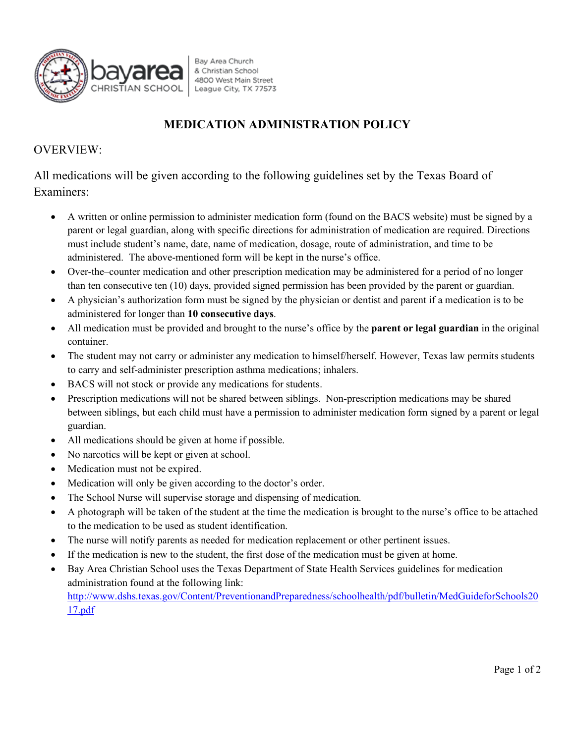

Bay Area Church & Christian School 4800 West Main Street League City, TX 77573

## **MEDICATION ADMINISTRATION POLICY**

## OVERVIEW:

All medications will be given according to the following guidelines set by the Texas Board of Examiners:

- A written or online permission to administer medication form (found on the BACS website) must be signed by a parent or legal guardian, along with specific directions for administration of medication are required. Directions must include student's name, date, name of medication, dosage, route of administration, and time to be administered. The above-mentioned form will be kept in the nurse's office.
- Over-the–counter medication and other prescription medication may be administered for a period of no longer than ten consecutive ten (10) days, provided signed permission has been provided by the parent or guardian.
- A physician's authorization form must be signed by the physician or dentist and parent if a medication is to be administered for longer than **10 consecutive days**.
- All medication must be provided and brought to the nurse's office by the **parent or legal guardian** in the original container.
- The student may not carry or administer any medication to himself/herself. However, Texas law permits students to carry and self-administer prescription asthma medications; inhalers.
- BACS will not stock or provide any medications for students.
- Prescription medications will not be shared between siblings. Non-prescription medications may be shared between siblings, but each child must have a permission to administer medication form signed by a parent or legal guardian.
- All medications should be given at home if possible.
- No narcotics will be kept or given at school.
- Medication must not be expired.
- Medication will only be given according to the doctor's order.
- The School Nurse will supervise storage and dispensing of medication.
- A photograph will be taken of the student at the time the medication is brought to the nurse's office to be attached to the medication to be used as student identification.
- The nurse will notify parents as needed for medication replacement or other pertinent issues.
- If the medication is new to the student, the first dose of the medication must be given at home.
- Bay Area Christian School uses the Texas Department of State Health Services guidelines for medication administration found at the following link: http://www.dshs.texas.gov/Content/PreventionandPreparedness/schoolhealth/pdf/bulletin/MedGuideforSchools20 17.pdf